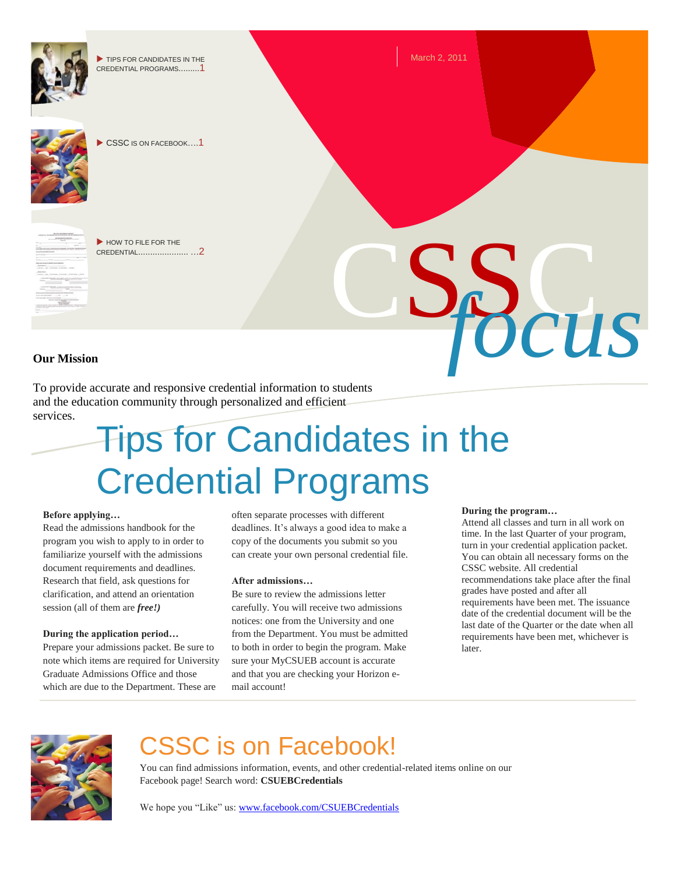

To provide accurate and responsive credential information to students and the education community through personalized and efficient services.

# Tips for Candidates in the Credential Programs

#### **Before applying…**

Read the admissions handbook for the program you wish to apply to in order to familiarize yourself with the admissions document requirements and deadlines. Research that field, ask questions for clarification, and attend an orientation session (all of them are *free!)*

#### **During the application period…**

Prepare your admissions packet. Be sure to note which items are required for University Graduate Admissions Office and those which are due to the Department. These are

often separate processes with different deadlines. It's always a good idea to make a copy of the documents you submit so you can create your own personal credential file.

#### **After admissions…**

Be sure to review the admissions letter carefully. You will receive two admissions notices: one from the University and one from the Department. You must be admitted to both in order to begin the program. Make sure your MyCSUEB account is accurate and that you are checking your Horizon email account!

#### **During the program…**

Attend all classes and turn in all work on time. In the last Quarter of your program, turn in your credential application packet. You can obtain all necessary forms on the CSSC website. All credential recommendations take place after the final grades have posted and after all requirements have been met. The issuance date of the credential document will be the last date of the Quarter or the date when all requirements have been met, whichever is later.



### CSSC is on Facebook!

You can find admissions information, events, and other credential-related items online on our Facebook page! Search word: **CSUEBCredentials**

We hope you "Like" us[: www.facebook.com/CSUEBCredentials](http://www.facebook.com/CSUEBCredentials)